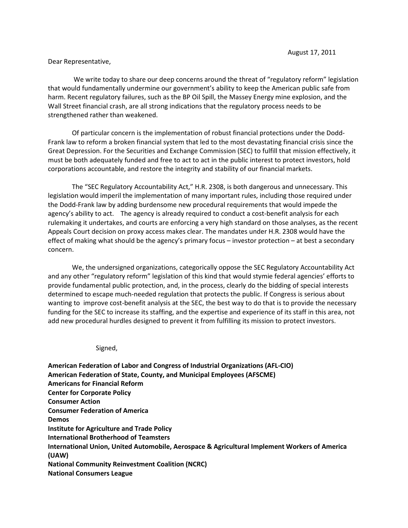## Dear Representative,

We write today to share our deep concerns around the threat of "regulatory reform" legislation that would fundamentally undermine our government's ability to keep the American public safe from harm. Recent regulatory failures, such as the BP Oil Spill, the Massey Energy mine explosion, and the Wall Street financial crash, are all strong indications that the regulatory process needs to be strengthened rather than weakened.

 Of particular concern is the implementation of robust financial protections under the Dodd-Frank law to reform a broken financial system that led to the most devastating financial crisis since the Great Depression. For the Securities and Exchange Commission (SEC) to fulfill that mission effectively, it must be both adequately funded and free to act to act in the public interest to protect investors, hold corporations accountable, and restore the integrity and stability of our financial markets.

The "SEC Regulatory Accountability Act," H.R. 2308, is both dangerous and unnecessary. This legislation would imperil the implementation of many important rules, including those required under the Dodd-Frank law by adding burdensome new procedural requirements that would impede the agency's ability to act. The agency is already required to conduct a cost-benefit analysis for each rulemaking it undertakes, and courts are enforcing a very high standard on those analyses, as the recent Appeals Court decision on proxy access makes clear. The mandates under H.R. 2308 would have the effect of making what should be the agency's primary focus – investor protection – at best a secondary concern.

 We, the undersigned organizations, categorically oppose the SEC Regulatory Accountability Act and any other "regulatory reform" legislation of this kind that would stymie federal agencies' efforts to provide fundamental public protection, and, in the process, clearly do the bidding of special interests determined to escape much-needed regulation that protects the public. If Congress is serious about wanting to improve cost-benefit analysis at the SEC, the best way to do that is to provide the necessary funding for the SEC to increase its staffing, and the expertise and experience of its staff in this area, not add new procedural hurdles designed to prevent it from fulfilling its mission to protect investors.

Signed,

American Federation of Labor and Congress of Industrial Organizations (AFL-CIO) American Federation of State, County, and Municipal Employees (AFSCME) Americans for Financial Reform Center for Corporate Policy Consumer Action Consumer Federation of America Demos Institute for Agriculture and Trade Policy International Brotherhood of Teamsters International Union, United Automobile, Aerospace & Agricultural Implement Workers of America (UAW) National Community Reinvestment Coalition (NCRC) National Consumers League